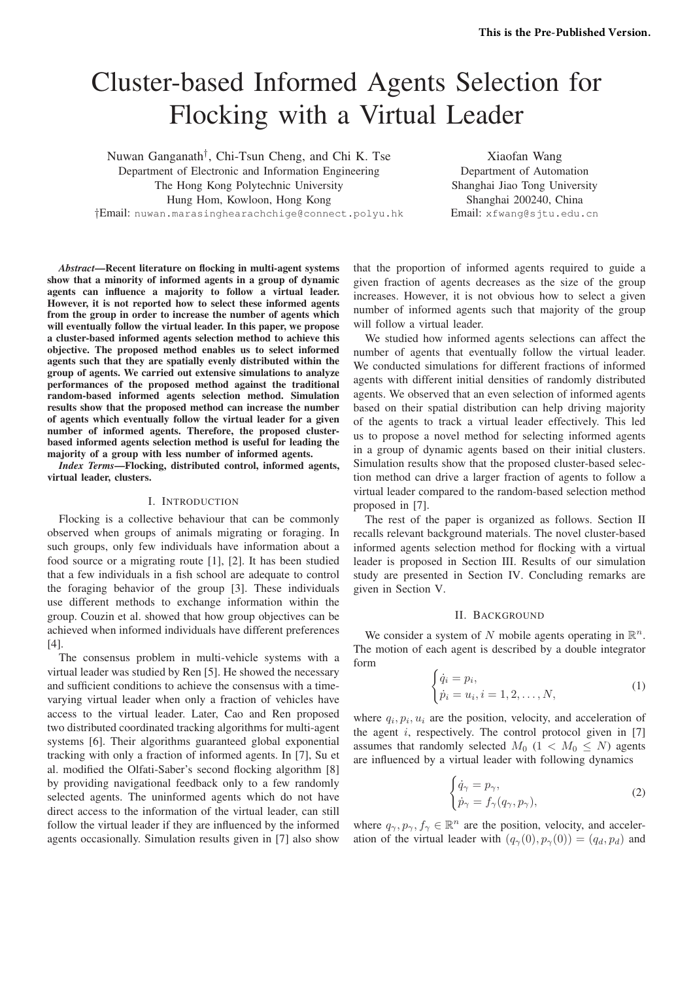# Cluster-based Informed Agents Selection for Flocking with a Virtual Leader

Nuwan Ganganath† , Chi-Tsun Cheng, and Chi K. Tse Department of Electronic and Information Engineering The Hong Kong Polytechnic University Hung Hom, Kowloon, Hong Kong

Shanghai Jiao Tong University Shanghai 200240, China Email: xfwang@sjtu.edu.cn

†Email: nuwan.marasinghearachchige@connect.polyu.hk

*Abstract*—Recent literature on flocking in multi-agent systems show that a minority of informed agents in a group of dynamic agents can influence a majority to follow a virtual leader. However, it is not reported how to select these informed agents from the group in order to increase the number of agents which will eventually follow the virtual leader. In this paper, we propose a cluster-based informed agents selection method to achieve this objective. The proposed method enables us to select informed agents such that they are spatially evenly distributed within the group of agents. We carried out extensive simulations to analyze performances of the proposed method against the traditional random-based informed agents selection method. Simulation results show that the proposed method can increase the number of agents which eventually follow the virtual leader for a given number of informed agents. Therefore, the proposed clusterbased informed agents selection method is useful for leading the majority of a group with less number of informed agents.

*Index Terms*—Flocking, distributed control, informed agents, virtual leader, clusters.

## I. INTRODUCTION

Flocking is a collective behaviour that can be commonly observed when groups of animals migrating or foraging. In such groups, only few individuals have information about a food source or a migrating route [1], [2]. It has been studied that a few individuals in a fish school are adequate to control the foraging behavior of the group [3]. These individuals use different methods to exchange information within the group. Couzin et al. showed that how group objectives can be achieved when informed individuals have different preferences [4].

The consensus problem in multi-vehicle systems with a virtual leader was studied by Ren [5]. He showed the necessary and sufficient conditions to achieve the consensus with a timevarying virtual leader when only a fraction of vehicles have access to the virtual leader. Later, Cao and Ren proposed two distributed coordinated tracking algorithms for multi-agent systems [6]. Their algorithms guaranteed global exponential tracking with only a fraction of informed agents. In [7], Su et al. modified the Olfati-Saber's second flocking algorithm [8] by providing navigational feedback only to a few randomly selected agents. The uninformed agents which do not have direct access to the information of the virtual leader, can still follow the virtual leader if they are influenced by the informed agents occasionally. Simulation results given in [7] also show

that the proportion of informed agents required to guide a given fraction of agents decreases as the size of the group increases. However, it is not obvious how to select a given number of informed agents such that majority of the group will follow a virtual leader.

Xiaofan Wang Department of Automation

We studied how informed agents selections can affect the number of agents that eventually follow the virtual leader. We conducted simulations for different fractions of informed agents with different initial densities of randomly distributed agents. We observed that an even selection of informed agents based on their spatial distribution can help driving majority of the agents to track a virtual leader effectively. This led us to propose a novel method for selecting informed agents in a group of dynamic agents based on their initial clusters. Simulation results show that the proposed cluster-based selection method can drive a larger fraction of agents to follow a virtual leader compared to the random-based selection method proposed in [7].

The rest of the paper is organized as follows. Section II recalls relevant background materials. The novel cluster-based informed agents selection method for flocking with a virtual leader is proposed in Section III. Results of our simulation study are presented in Section IV. Concluding remarks are given in Section V.

## II. BACKGROUND

We consider a system of N mobile agents operating in  $\mathbb{R}^n$ . The motion of each agent is described by a double integrator form

$$
\begin{cases} \dot{q}_i = p_i, \\ \dot{p}_i = u_i, i = 1, 2, \dots, N, \end{cases} (1)
$$

where  $q_i, p_i, u_i$  are the position, velocity, and acceleration of the agent  $i$ , respectively. The control protocol given in [7] assumes that randomly selected  $M_0$  (1 <  $M_0$  < N) agents are influenced by a virtual leader with following dynamics

$$
\begin{cases} \dot{q}_{\gamma} = p_{\gamma}, \\ \dot{p}_{\gamma} = f_{\gamma}(q_{\gamma}, p_{\gamma}), \end{cases} \tag{2}
$$

where  $q_{\gamma}, p_{\gamma}, f_{\gamma} \in \mathbb{R}^{n}$  are the position, velocity, and acceleration of the virtual leader with  $(q_\gamma(0), p_\gamma(0)) = (q_d, p_d)$  and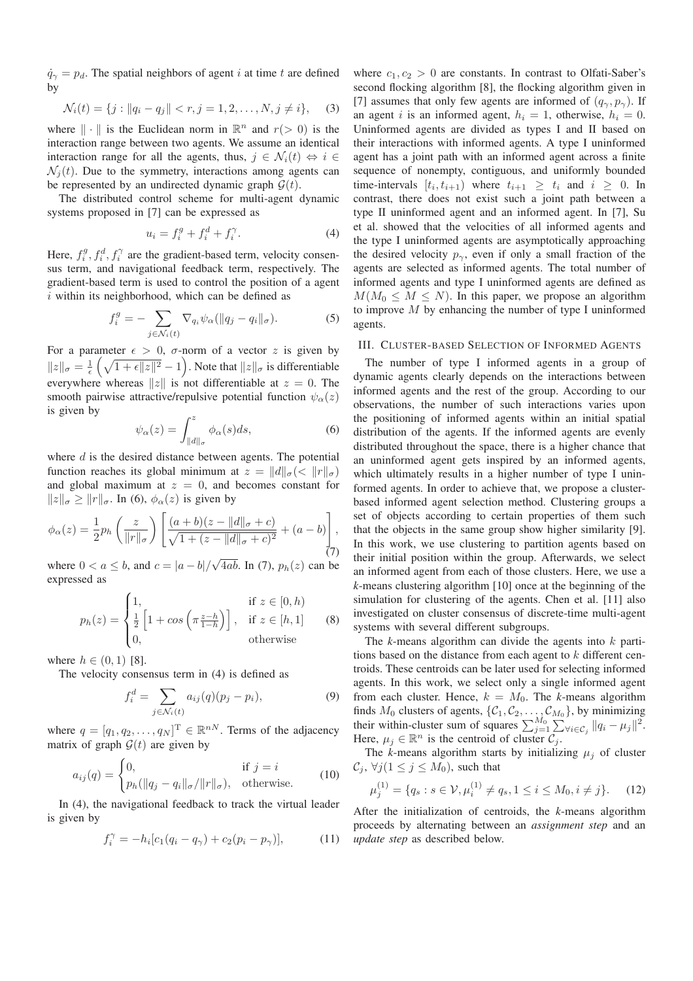$\dot{q}_{\gamma} = p_d$ . The spatial neighbors of agent i at time t are defined by

$$
\mathcal{N}_i(t) = \{j : ||q_i - q_j|| < r, j = 1, 2, \dots, N, j \neq i\},\tag{3}
$$

where  $\|\cdot\|$  is the Euclidean norm in  $\mathbb{R}^n$  and  $r(> 0)$  is the interaction range between two agents. We assume an identical interaction range for all the agents, thus,  $j \in \mathcal{N}_i(t) \Leftrightarrow i \in$  $\mathcal{N}_i(t)$ . Due to the symmetry, interactions among agents can be represented by an undirected dynamic graph  $\mathcal{G}(t)$ .

The distributed control scheme for multi-agent dynamic systems proposed in [7] can be expressed as

$$
u_i = f_i^g + f_i^d + f_i^\gamma. \tag{4}
$$

Here,  $f_i^g$ ,  $f_i^d$ ,  $f_i^{\gamma}$  are the gradient-based term, velocity consensus term, and navigational feedback term, respectively. The gradient-based term is used to control the position of a agent  $i$  within its neighborhood, which can be defined as

$$
f_i^g = -\sum_{j \in \mathcal{N}_i(t)} \nabla_{q_i} \psi_\alpha(||q_j - q_i||_\sigma). \tag{5}
$$

For a parameter  $\epsilon > 0$ ,  $\sigma$ -norm of a vector z is given by  $||z||_{\sigma} = \frac{1}{\epsilon} \left( \sqrt{1 + \epsilon ||z||^2} - 1 \right)$ . Note that  $||z||_{\sigma}$  is differentiable everywhere whereas  $||z||$  is not differentiable at  $z = 0$ . The smooth pairwise attractive/repulsive potential function  $\psi_{\alpha}(z)$ is given by

$$
\psi_{\alpha}(z) = \int_{\|d\|_{\sigma}}^{z} \phi_{\alpha}(s)ds,\tag{6}
$$

where  $d$  is the desired distance between agents. The potential function reaches its global minimum at  $z = ||d||_{\sigma} (\langle ||r||_{\sigma})$ and global maximum at  $z = 0$ , and becomes constant for  $||z||_{\sigma} \ge ||r||_{\sigma}$ . In (6),  $\phi_{\alpha}(z)$  is given by

$$
\phi_{\alpha}(z) = \frac{1}{2} p_h \left( \frac{z}{\|r\|_{\sigma}} \right) \left[ \frac{(a+b)(z - \|d\|_{\sigma} + c)}{\sqrt{1 + (z - \|d\|_{\sigma} + c)^2}} + (a - b) \right],
$$
\n(7)

where  $0 < a \leq b$ , and  $c = |a - b| / \sqrt{4ab}$ . In (7),  $p_h(z)$  can be expressed as

$$
p_h(z) = \begin{cases} 1, & \text{if } z \in [0, h) \\ \frac{1}{2} \left[ 1 + \cos \left( \pi \frac{z - h}{1 - h} \right) \right], & \text{if } z \in [h, 1] \\ 0, & \text{otherwise} \end{cases} \tag{8}
$$

where  $h \in (0, 1)$  [8].

The velocity consensus term in (4) is defined as

$$
f_i^d = \sum_{j \in \mathcal{N}_i(t)} a_{ij}(q)(p_j - p_i),
$$
 (9)

where  $q = [q_1, q_2, \dots, q_N]^T \in \mathbb{R}^{nN}$ . Terms of the adjacency matrix of graph  $\mathcal{G}(t)$  are given by

$$
a_{ij}(q) = \begin{cases} 0, & \text{if } j = i \\ p_h(\|q_j - q_i\|_{\sigma}/\|r\|_{\sigma}), & \text{otherwise.} \end{cases}
$$
 (10)

In (4), the navigational feedback to track the virtual leader is given by

$$
f_i^{\gamma} = -h_i[c_1(q_i - q_{\gamma}) + c_2(p_i - p_{\gamma})],
$$
 (11)

where  $c_1, c_2 > 0$  are constants. In contrast to Olfati-Saber's second flocking algorithm [8], the flocking algorithm given in [7] assumes that only few agents are informed of  $(q_{\gamma}, p_{\gamma})$ . If an agent i is an informed agent,  $h_i = 1$ , otherwise,  $h_i = 0$ . Uninformed agents are divided as types I and II based on their interactions with informed agents. A type I uninformed agent has a joint path with an informed agent across a finite sequence of nonempty, contiguous, and uniformly bounded time-intervals  $[t_i, t_{i+1})$  where  $t_{i+1} \geq t_i$  and  $i \geq 0$ . In contrast, there does not exist such a joint path between a type II uninformed agent and an informed agent. In [7], Su et al. showed that the velocities of all informed agents and the type I uninformed agents are asymptotically approaching the desired velocity  $p_{\gamma}$ , even if only a small fraction of the agents are selected as informed agents. The total number of informed agents and type I uninformed agents are defined as  $M(M_0 \leq M \leq N)$ . In this paper, we propose an algorithm to improve  $M$  by enhancing the number of type I uninformed agents.

#### III. CLUSTER-BASED SELECTION OF INFORMED AGENTS

The number of type I informed agents in a group of dynamic agents clearly depends on the interactions between informed agents and the rest of the group. According to our observations, the number of such interactions varies upon the positioning of informed agents within an initial spatial distribution of the agents. If the informed agents are evenly distributed throughout the space, there is a higher chance that an uninformed agent gets inspired by an informed agents, which ultimately results in a higher number of type I uninformed agents. In order to achieve that, we propose a clusterbased informed agent selection method. Clustering groups a set of objects according to certain properties of them such that the objects in the same group show higher similarity [9]. In this work, we use clustering to partition agents based on their initial position within the group. Afterwards, we select an informed agent from each of those clusters. Here, we use a *k*-means clustering algorithm [10] once at the beginning of the simulation for clustering of the agents. Chen et al. [11] also investigated on cluster consensus of discrete-time multi-agent systems with several different subgroups.

The *k*-means algorithm can divide the agents into k partitions based on the distance from each agent to  $k$  different centroids. These centroids can be later used for selecting informed agents. In this work, we select only a single informed agent from each cluster. Hence,  $k = M_0$ . The *k*-means algorithm finds  $M_0$  clusters of agents,  $\{C_1, C_2, \ldots, C_{M_0}\}$ , by minimizing their within-cluster sum of squares  $\sum_{j=1}^{M_0} \sum_{\forall i \in C_j}^{\forall} ||q_i - \mu_j||^2$ . Here,  $\mu_j \in \mathbb{R}^n$  is the centroid of cluster  $\mathcal{C}_j$ .

The *k*-means algorithm starts by initializing  $\mu_i$  of cluster  $\mathcal{C}_i$ ,  $\forall j (1 \leq j \leq M_0)$ , such that

$$
\mu_j^{(1)} = \{q_s : s \in \mathcal{V}, \mu_i^{(1)} \neq q_s, 1 \leq i \leq M_0, i \neq j\}.
$$
 (12)

After the initialization of centroids, the *k*-means algorithm proceeds by alternating between an *assignment step* and an *update step* as described below.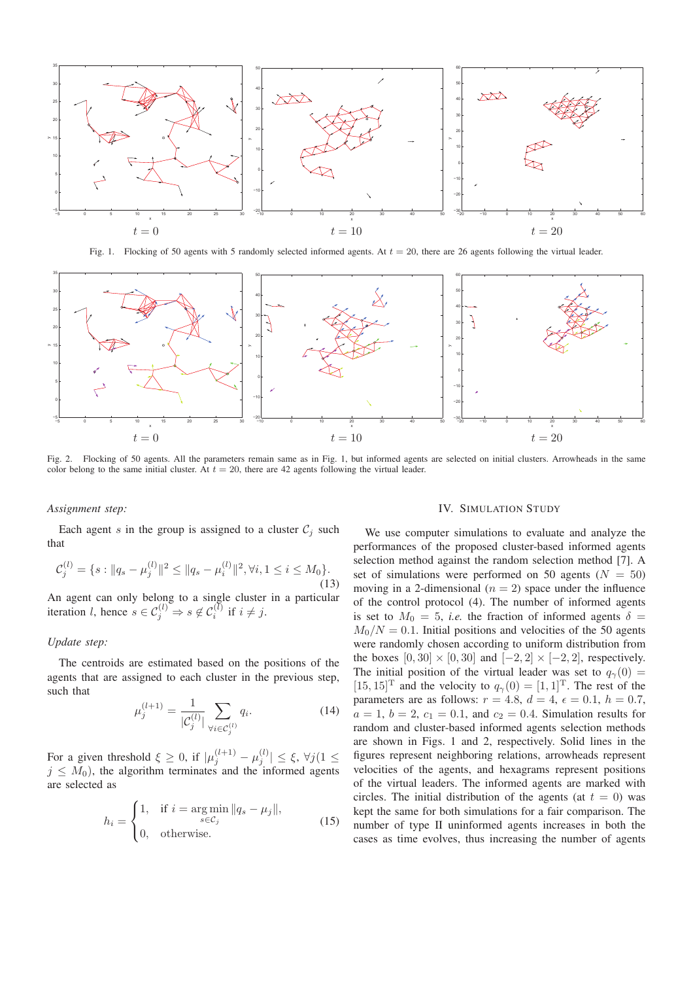

Fig. 1. Flocking of 50 agents with 5 randomly selected informed agents. At  $t = 20$ , there are 26 agents following the virtual leader.



Fig. 2. Flocking of 50 agents. All the parameters remain same as in Fig. 1, but informed agents are selected on initial clusters. Arrowheads in the same color belong to the same initial cluster. At  $t = 20$ , there are 42 agents following the virtual leader.

#### *Assignment step:*

Each agent s in the group is assigned to a cluster  $C_i$  such that

$$
\mathcal{C}_{j}^{(l)} = \{s : ||q_{s} - \mu_{j}^{(l)}||^{2} \leq ||q_{s} - \mu_{i}^{(l)}||^{2}, \forall i, 1 \leq i \leq M_{0}\}.
$$
\n(13)

An agent can only belong to a single cluster in a particular iteration *l*, hence  $s \in C_j^{(l)} \Rightarrow s \notin C_i^{(l)}$  if  $i \neq j$ .

# *Update step:*

The centroids are estimated based on the positions of the agents that are assigned to each cluster in the previous step, such that

$$
\mu_j^{(l+1)} = \frac{1}{|\mathcal{C}_j^{(l)}|} \sum_{\forall i \in \mathcal{C}_j^{(l)}} q_i.
$$
\n(14)

For a given threshold  $\xi \ge 0$ , if  $|\mu_j^{(l+1)} - \mu_j^{(l)}| \le \xi$ ,  $\forall j$  (1  $\le$  $j \leq M_0$ ), the algorithm terminates and the informed agents are selected as

$$
h_i = \begin{cases} 1, & \text{if } i = \operatorname*{arg\,min}_{s \in \mathcal{C}_j} \|q_s - \mu_j\|, \\ 0, & \text{otherwise.} \end{cases}
$$
(15)

# IV. SIMULATION STUDY

We use computer simulations to evaluate and analyze the performances of the proposed cluster-based informed agents selection method against the random selection method [7]. A set of simulations were performed on 50 agents ( $N = 50$ ) moving in a 2-dimensional  $(n = 2)$  space under the influence of the control protocol (4). The number of informed agents is set to  $M_0 = 5$ , *i.e.* the fraction of informed agents  $\delta =$  $M_0/N = 0.1$ . Initial positions and velocities of the 50 agents were randomly chosen according to uniform distribution from the boxes  $[0, 30] \times [0, 30]$  and  $[-2, 2] \times [-2, 2]$ , respectively. The initial position of the virtual leader was set to  $q_{\gamma}(0) =$  $[15, 15]^T$  and the velocity to  $q_\gamma(0) = [1, 1]^T$ . The rest of the parameters are as follows:  $r = 4.8$ ,  $d = 4$ ,  $\epsilon = 0.1$ ,  $h = 0.7$ ,  $a = 1$ ,  $b = 2$ ,  $c_1 = 0.1$ , and  $c_2 = 0.4$ . Simulation results for random and cluster-based informed agents selection methods are shown in Figs. 1 and 2, respectively. Solid lines in the figures represent neighboring relations, arrowheads represent velocities of the agents, and hexagrams represent positions of the virtual leaders. The informed agents are marked with circles. The initial distribution of the agents (at  $t = 0$ ) was kept the same for both simulations for a fair comparison. The number of type II uninformed agents increases in both the cases as time evolves, thus increasing the number of agents